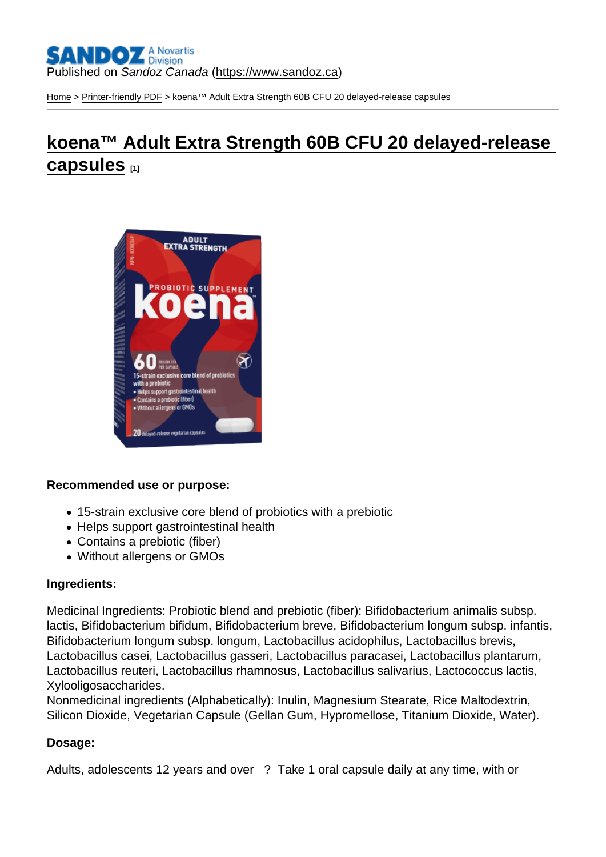[Home](https://www.sandoz.ca/en) > [Printer-friendly PDF](https://www.sandoz.ca/en/printpdf) > koena™ Adult Extra Strength 60B CFU 20 delayed-release capsules

# [koena™ Adult Extra Strength 60B CFU 20 delayed-release](https://www.sandoz.ca/en/koenatm-adult-extra-strength-60b-cfu-20-delayed-release-capsules)  [capsules](https://www.sandoz.ca/en/koenatm-adult-extra-strength-60b-cfu-20-delayed-release-capsules) [1]

Recommended use or purpose:

- 15-strain exclusive core blend of probiotics with a prebiotic
- Helps support gastrointestinal health
- Contains a prebiotic (fiber)
- Without allergens or GMOs

#### Ingredients:

Medicinal Ingredients: Probiotic blend and prebiotic (fiber): Bifidobacterium animalis subsp. lactis, Bifidobacterium bifidum, Bifidobacterium breve, Bifidobacterium longum subsp. infantis, Bifidobacterium longum subsp. longum, Lactobacillus acidophilus, Lactobacillus brevis, Lactobacillus casei, Lactobacillus gasseri, Lactobacillus paracasei, Lactobacillus plantarum, Lactobacillus reuteri, Lactobacillus rhamnosus, Lactobacillus salivarius, Lactococcus lactis, Xylooligosaccharides.

Nonmedicinal ingredients (Alphabetically): Inulin, Magnesium Stearate, Rice Maltodextrin, Silicon Dioxide, Vegetarian Capsule (Gellan Gum, Hypromellose, Titanium Dioxide, Water).

Dosage:

Adults, adolescents 12 years and over ? Take 1 oral capsule daily at any time, with or